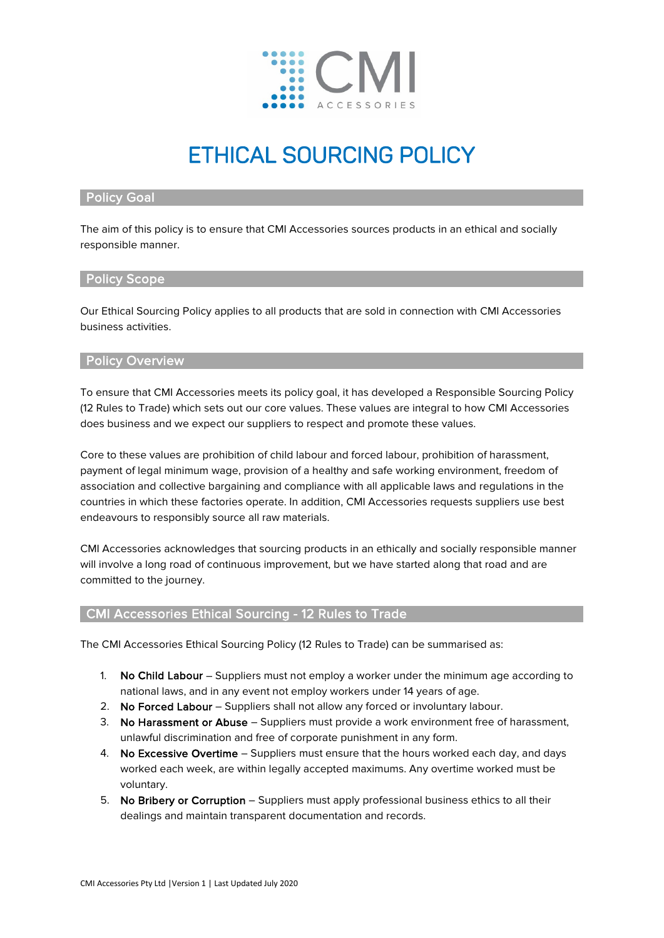

# ETHICAL SOURCING POLICY

## Policy Goal

The aim of this policy is to ensure that CMI Accessories sources products in an ethical and socially responsible manner.

#### Policy Scope

Our Ethical Sourcing Policy applies to all products that are sold in connection with CMI Accessories business activities.

#### Policy Overview

To ensure that CMI Accessories meets its policy goal, it has developed a Responsible Sourcing Policy (12 Rules to Trade) which sets out our core values. These values are integral to how CMI Accessories does business and we expect our suppliers to respect and promote these values.

Core to these values are prohibition of child labour and forced labour, prohibition of harassment, payment of legal minimum wage, provision of a healthy and safe working environment, freedom of association and collective bargaining and compliance with all applicable laws and regulations in the countries in which these factories operate. In addition, CMI Accessories requests suppliers use best endeavours to responsibly source all raw materials.

CMI Accessories acknowledges that sourcing products in an ethically and socially responsible manner will involve a long road of continuous improvement, but we have started along that road and are committed to the journey.

# CMI Accessories Ethical Sourcing - 12 Rules to Trade

The CMI Accessories Ethical Sourcing Policy (12 Rules to Trade) can be summarised as:

- 1. No Child Labour Suppliers must not employ a worker under the minimum age according to national laws, and in any event not employ workers under 14 years of age.
- 2. No Forced Labour Suppliers shall not allow any forced or involuntary labour.
- 3. No Harassment or Abuse Suppliers must provide a work environment free of harassment, unlawful discrimination and free of corporate punishment in any form.
- 4. No Excessive Overtime Suppliers must ensure that the hours worked each day, and days worked each week, are within legally accepted maximums. Any overtime worked must be voluntary.
- 5. No Bribery or Corruption Suppliers must apply professional business ethics to all their dealings and maintain transparent documentation and records.